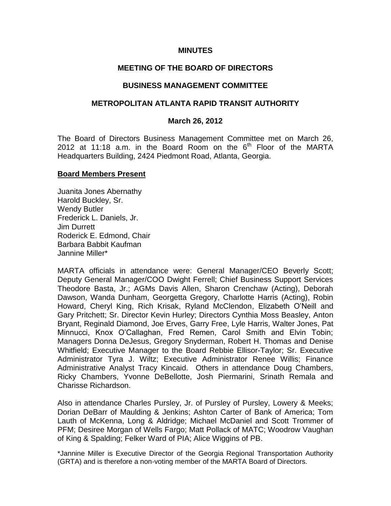### **MINUTES**

## **MEETING OF THE BOARD OF DIRECTORS**

#### **BUSINESS MANAGEMENT COMMITTEE**

### **METROPOLITAN ATLANTA RAPID TRANSIT AUTHORITY**

#### **March 26, 2012**

The Board of Directors Business Management Committee met on March 26, 2012 at 11:18 a.m. in the Board Room on the  $6<sup>th</sup>$  Floor of the MARTA Headquarters Building, 2424 Piedmont Road, Atlanta, Georgia.

#### **Board Members Present**

Juanita Jones Abernathy Harold Buckley, Sr. Wendy Butler Frederick L. Daniels, Jr. Jim Durrett Roderick E. Edmond, Chair Barbara Babbit Kaufman Jannine Miller\*

MARTA officials in attendance were: General Manager/CEO Beverly Scott; Deputy General Manager/COO Dwight Ferrell; Chief Business Support Services Theodore Basta, Jr.; AGMs Davis Allen, Sharon Crenchaw (Acting), Deborah Dawson, Wanda Dunham, Georgetta Gregory, Charlotte Harris (Acting), Robin Howard, Cheryl King, Rich Krisak, Ryland McClendon, Elizabeth O'Neill and Gary Pritchett; Sr. Director Kevin Hurley; Directors Cynthia Moss Beasley, Anton Bryant, Reginald Diamond, Joe Erves, Garry Free, Lyle Harris, Walter Jones, Pat Minnucci, Knox O'Callaghan, Fred Remen, Carol Smith and Elvin Tobin; Managers Donna DeJesus, Gregory Snyderman, Robert H. Thomas and Denise Whitfield; Executive Manager to the Board Rebbie Ellisor-Taylor; Sr. Executive Administrator Tyra J. Wiltz; Executive Administrator Renee Willis; Finance Administrative Analyst Tracy Kincaid. Others in attendance Doug Chambers, Ricky Chambers, Yvonne DeBellotte, Josh Piermarini, Srinath Remala and Charisse Richardson.

Also in attendance Charles Pursley, Jr. of Pursley of Pursley, Lowery & Meeks; Dorian DeBarr of Maulding & Jenkins; Ashton Carter of Bank of America; Tom Lauth of McKenna, Long & Aldridge; Michael McDaniel and Scott Trommer of PFM; Desiree Morgan of Wells Fargo; Matt Pollack of MATC; Woodrow Vaughan of King & Spalding; Felker Ward of PIA; Alice Wiggins of PB.

\*Jannine Miller is Executive Director of the Georgia Regional Transportation Authority (GRTA) and is therefore a non-voting member of the MARTA Board of Directors.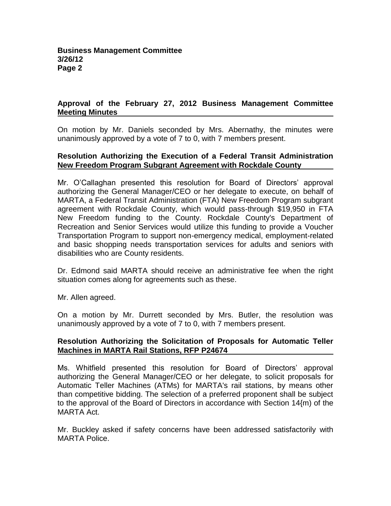# **Approval of the February 27, 2012 Business Management Committee Meeting Minutes**

On motion by Mr. Daniels seconded by Mrs. Abernathy, the minutes were unanimously approved by a vote of 7 to 0, with 7 members present.

## **Resolution Authorizing the Execution of a Federal Transit Administration New Freedom Program Subgrant Agreement with Rockdale County**

Mr. O'Callaghan presented this resolution for Board of Directors' approval authorizing the General Manager/CEO or her delegate to execute, on behalf of MARTA, a Federal Transit Administration (FTA) New Freedom Program subgrant agreement with Rockdale County, which would pass-through \$19,950 in FTA New Freedom funding to the County. Rockdale County's Department of Recreation and Senior Services would utilize this funding to provide a Voucher Transportation Program to support non-emergency medical, employment-related and basic shopping needs transportation services for adults and seniors with disabilities who are County residents.

Dr. Edmond said MARTA should receive an administrative fee when the right situation comes along for agreements such as these.

Mr. Allen agreed.

On a motion by Mr. Durrett seconded by Mrs. Butler, the resolution was unanimously approved by a vote of 7 to 0, with 7 members present.

## **Resolution Authorizing the Solicitation of Proposals for Automatic Teller Machines in MARTA Rail Stations, RFP P24674**

Ms. Whitfield presented this resolution for Board of Directors' approval authorizing the General Manager/CEO or her delegate, to solicit proposals for Automatic Teller Machines (ATMs) for MARTA's rail stations, by means other than competitive bidding. The selection of a preferred proponent shall be subject to the approval of the Board of Directors in accordance with Section 14{m) of the MARTA Act.

Mr. Buckley asked if safety concerns have been addressed satisfactorily with MARTA Police.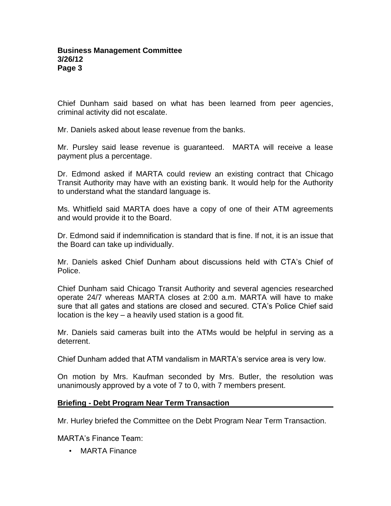Chief Dunham said based on what has been learned from peer agencies, criminal activity did not escalate.

Mr. Daniels asked about lease revenue from the banks.

Mr. Pursley said lease revenue is guaranteed. MARTA will receive a lease payment plus a percentage.

Dr. Edmond asked if MARTA could review an existing contract that Chicago Transit Authority may have with an existing bank. It would help for the Authority to understand what the standard language is.

Ms. Whitfield said MARTA does have a copy of one of their ATM agreements and would provide it to the Board.

Dr. Edmond said if indemnification is standard that is fine. If not, it is an issue that the Board can take up individually.

Mr. Daniels asked Chief Dunham about discussions held with CTA's Chief of Police.

Chief Dunham said Chicago Transit Authority and several agencies researched operate 24/7 whereas MARTA closes at 2:00 a.m. MARTA will have to make sure that all gates and stations are closed and secured. CTA's Police Chief said location is the key – a heavily used station is a good fit.

Mr. Daniels said cameras built into the ATMs would be helpful in serving as a deterrent.

Chief Dunham added that ATM vandalism in MARTA's service area is very low.

On motion by Mrs. Kaufman seconded by Mrs. Butler, the resolution was unanimously approved by a vote of 7 to 0, with 7 members present.

## **Briefing - Debt Program Near Term Transaction**

Mr. Hurley briefed the Committee on the Debt Program Near Term Transaction.

MARTA's Finance Team:

• MARTA Finance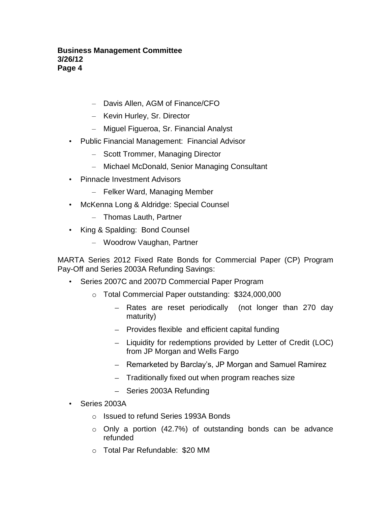- Davis Allen, AGM of Finance/CFO
- Kevin Hurley, Sr. Director
- Miguel Figueroa, Sr. Financial Analyst
- Public Financial Management: Financial Advisor
	- Scott Trommer, Managing Director
	- Michael McDonald, Senior Managing Consultant
- Pinnacle Investment Advisors
	- Felker Ward, Managing Member
- McKenna Long & Aldridge: Special Counsel
	- Thomas Lauth, Partner
- King & Spalding: Bond Counsel
	- Woodrow Vaughan, Partner

MARTA Series 2012 Fixed Rate Bonds for Commercial Paper (CP) Program Pay-Off and Series 2003A Refunding Savings:

- Series 2007C and 2007D Commercial Paper Program
	- o Total Commercial Paper outstanding: \$324,000,000
		- Rates are reset periodically (not longer than 270 day maturity)
		- $-$  Provides flexible and efficient capital funding
		- Liquidity for redemptions provided by Letter of Credit (LOC) from JP Morgan and Wells Fargo
		- Remarketed by Barclay's, JP Morgan and Samuel Ramirez
		- Traditionally fixed out when program reaches size
		- Series 2003A Refunding
- Series 2003A
	- o Issued to refund Series 1993A Bonds
	- o Only a portion (42.7%) of outstanding bonds can be advance refunded
	- o Total Par Refundable: \$20 MM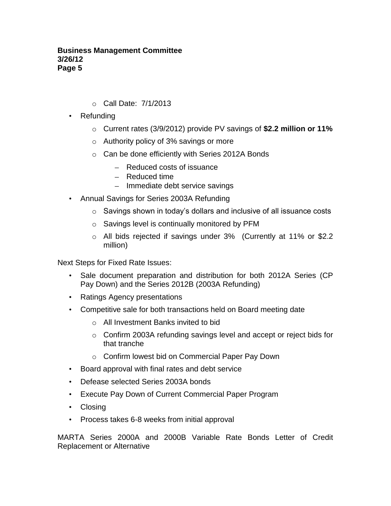- o Call Date: 7/1/2013
- Refunding
	- o Current rates (3/9/2012) provide PV savings of **\$2.2 million or 11%**
	- o Authority policy of 3% savings or more
	- o Can be done efficiently with Series 2012A Bonds
		- Reduced costs of issuance
		- Reduced time
		- Immediate debt service savings
- Annual Savings for Series 2003A Refunding
	- o Savings shown in today's dollars and inclusive of all issuance costs
	- o Savings level is continually monitored by PFM
	- o All bids rejected if savings under 3% (Currently at 11% or \$2.2 million)

Next Steps for Fixed Rate Issues:

- Sale document preparation and distribution for both 2012A Series (CP Pay Down) and the Series 2012B (2003A Refunding)
- Ratings Agency presentations
- Competitive sale for both transactions held on Board meeting date
	- o All Investment Banks invited to bid
	- o Confirm 2003A refunding savings level and accept or reject bids for that tranche
	- o Confirm lowest bid on Commercial Paper Pay Down
- Board approval with final rates and debt service
- Defease selected Series 2003A bonds
- Execute Pay Down of Current Commercial Paper Program
- Closing
- Process takes 6-8 weeks from initial approval

MARTA Series 2000A and 2000B Variable Rate Bonds Letter of Credit Replacement or Alternative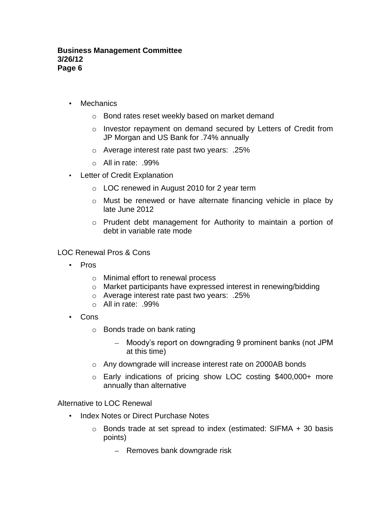- Mechanics
	- o Bond rates reset weekly based on market demand
	- o Investor repayment on demand secured by Letters of Credit from JP Morgan and US Bank for .74% annually
	- o Average interest rate past two years: .25%
	- $\circ$  All in rate: .99%
- Letter of Credit Explanation
	- o LOC renewed in August 2010 for 2 year term
	- o Must be renewed or have alternate financing vehicle in place by late June 2012
	- o Prudent debt management for Authority to maintain a portion of debt in variable rate mode

LOC Renewal Pros & Cons

- Pros
	- o Minimal effort to renewal process
	- o Market participants have expressed interest in renewing/bidding
	- o Average interest rate past two years: .25%
	- o All in rate: .99%
- Cons
	- o Bonds trade on bank rating
		- Moody's report on downgrading 9 prominent banks (not JPM at this time)
	- o Any downgrade will increase interest rate on 2000AB bonds
	- o Early indications of pricing show LOC costing \$400,000+ more annually than alternative

Alternative to LOC Renewal

- Index Notes or Direct Purchase Notes
	- o Bonds trade at set spread to index (estimated: SIFMA + 30 basis points)
		- Removes bank downgrade risk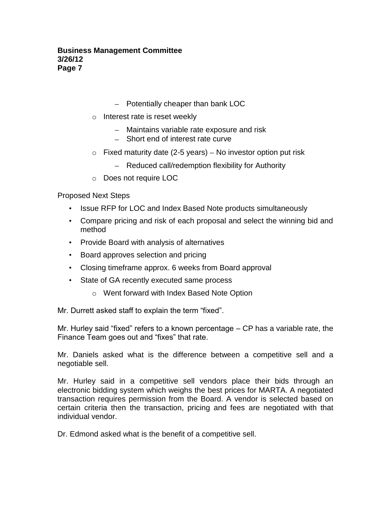- $-$  Potentially cheaper than bank LOC
- o Interest rate is reset weekly
	- Maintains variable rate exposure and risk
	- Short end of interest rate curve
- $\circ$  Fixed maturity date (2-5 years) No investor option put risk
	- Reduced call/redemption flexibility for Authority
- o Does not require LOC

Proposed Next Steps

- Issue RFP for LOC and Index Based Note products simultaneously
- Compare pricing and risk of each proposal and select the winning bid and method
- Provide Board with analysis of alternatives
- Board approves selection and pricing
- Closing timeframe approx. 6 weeks from Board approval
- State of GA recently executed same process
	- o Went forward with Index Based Note Option

Mr. Durrett asked staff to explain the term "fixed".

Mr. Hurley said "fixed" refers to a known percentage – CP has a variable rate, the Finance Team goes out and "fixes" that rate.

Mr. Daniels asked what is the difference between a competitive sell and a negotiable sell.

Mr. Hurley said in a competitive sell vendors place their bids through an electronic bidding system which weighs the best prices for MARTA. A negotiated transaction requires permission from the Board. A vendor is selected based on certain criteria then the transaction, pricing and fees are negotiated with that individual vendor.

Dr. Edmond asked what is the benefit of a competitive sell.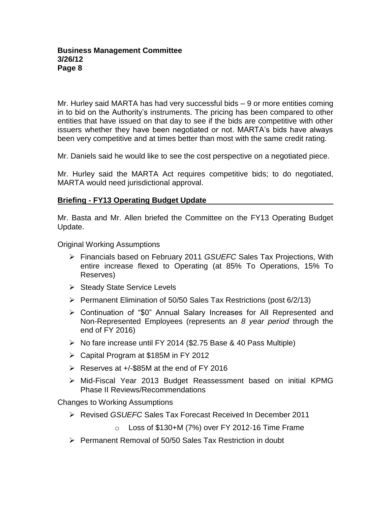Mr. Hurley said MARTA has had very successful bids – 9 or more entities coming in to bid on the Authority's instruments. The pricing has been compared to other entities that have issued on that day to see if the bids are competitive with other issuers whether they have been negotiated or not. MARTA's bids have always been very competitive and at times better than most with the same credit rating.

Mr. Daniels said he would like to see the cost perspective on a negotiated piece.

Mr. Hurley said the MARTA Act requires competitive bids; to do negotiated, MARTA would need jurisdictional approval.

## **Briefing - FY13 Operating Budget Update**

Mr. Basta and Mr. Allen briefed the Committee on the FY13 Operating Budget Update.

Original Working Assumptions

- Financials based on February 2011 *GSUEFC* Sales Tax Projections, With entire increase flexed to Operating (at 85% To Operations, 15% To Reserves)
- $\triangleright$  Steady State Service Levels
- $\triangleright$  Permanent Elimination of 50/50 Sales Tax Restrictions (post 6/2/13)
- Continuation of "\$0" Annual Salary Increases for All Represented and Non-Represented Employees (represents an *8 year period* through the end of FY 2016)
- $\triangleright$  No fare increase until FY 2014 (\$2.75 Base & 40 Pass Multiple)
- Capital Program at \$185M in FY 2012
- $\triangleright$  Reserves at  $+/-$ \$85M at the end of FY 2016
- Mid-Fiscal Year 2013 Budget Reassessment based on initial KPMG Phase II Reviews/Recommendations

Changes to Working Assumptions

- Revised *GSUEFC* Sales Tax Forecast Received In December 2011
	- $\circ$  Loss of \$130+M (7%) over FY 2012-16 Time Frame
- $\triangleright$  Permanent Removal of 50/50 Sales Tax Restriction in doubt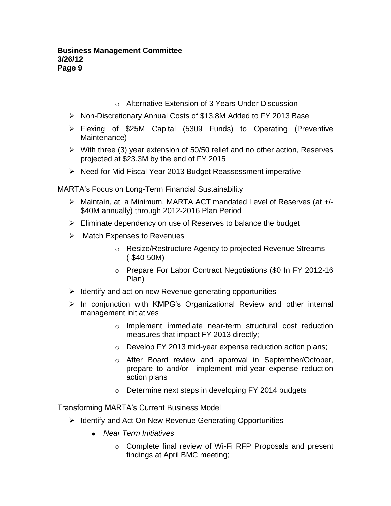- o Alternative Extension of 3 Years Under Discussion
- Non-Discretionary Annual Costs of \$13.8M Added to FY 2013 Base
- Flexing of \$25M Capital (5309 Funds) to Operating (Preventive Maintenance)
- $\triangleright$  With three (3) year extension of 50/50 relief and no other action, Reserves projected at \$23.3M by the end of FY 2015
- $\triangleright$  Need for Mid-Fiscal Year 2013 Budget Reassessment imperative

MARTA's Focus on Long-Term Financial Sustainability

- Maintain, at a Minimum, MARTA ACT mandated Level of Reserves (at +/- \$40M annually) through 2012-2016 Plan Period
- $\triangleright$  Eliminate dependency on use of Reserves to balance the budget
- $\triangleright$  Match Expenses to Revenues
	- o Resize/Restructure Agency to projected Revenue Streams (-\$40-50M)
	- o Prepare For Labor Contract Negotiations (\$0 In FY 2012-16 Plan)
- $\triangleright$  Identify and act on new Revenue generating opportunities
- $\triangleright$  In conjunction with KMPG's Organizational Review and other internal management initiatives
	- o Implement immediate near-term structural cost reduction measures that impact FY 2013 directly;
	- o Develop FY 2013 mid-year expense reduction action plans;
	- o After Board review and approval in September/October, prepare to and/or implement mid-year expense reduction action plans
	- o Determine next steps in developing FY 2014 budgets

Transforming MARTA's Current Business Model

- $\triangleright$  Identify and Act On New Revenue Generating Opportunities
	- *Near Term Initiatives*
		- o Complete final review of Wi-Fi RFP Proposals and present findings at April BMC meeting;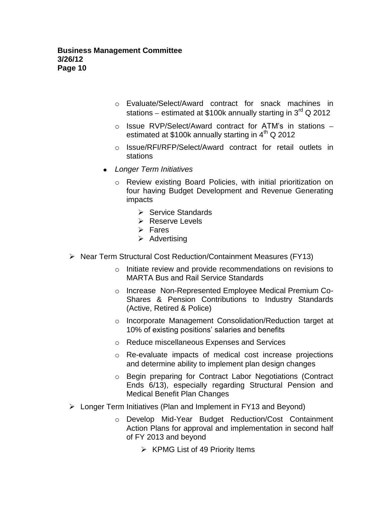- o Evaluate/Select/Award contract for snack machines in stations – estimated at \$100k annually starting in  $3^{\text{rd}}$  Q 2012
- o Issue RVP/Select/Award contract for ATM's in stations estimated at \$100k annually starting in  $4<sup>th</sup>$  Q 2012
- o Issue/RFI/RFP/Select/Award contract for retail outlets in stations
- *Longer Term Initiatives* 
	- o Review existing Board Policies, with initial prioritization on four having Budget Development and Revenue Generating impacts
		- $\triangleright$  Service Standards
		- **EXECTE Reserve Levels**
		- $\triangleright$  Fares
		- $\triangleright$  Advertising
- ▶ Near Term Structural Cost Reduction/Containment Measures (FY13)
	- o Initiate review and provide recommendations on revisions to MARTA Bus and Rail Service Standards
	- o Increase Non-Represented Employee Medical Premium Co-Shares & Pension Contributions to Industry Standards (Active, Retired & Police)
	- o Incorporate Management Consolidation/Reduction target at 10% of existing positions' salaries and benefits
	- o Reduce miscellaneous Expenses and Services
	- o Re-evaluate impacts of medical cost increase projections and determine ability to implement plan design changes
	- o Begin preparing for Contract Labor Negotiations (Contract Ends 6/13), especially regarding Structural Pension and Medical Benefit Plan Changes
- Longer Term Initiatives (Plan and Implement in FY13 and Beyond)
	- o Develop Mid-Year Budget Reduction/Cost Containment Action Plans for approval and implementation in second half of FY 2013 and beyond
		- $\triangleright$  KPMG List of 49 Priority Items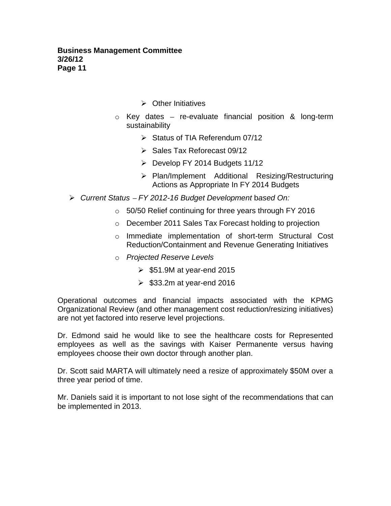- $\triangleright$  Other Initiatives
- $\circ$  Key dates re-evaluate financial position & long-term sustainability
	- $\triangleright$  Status of TIA Referendum 07/12
	- $\triangleright$  Sales Tax Reforecast 09/12
	- $\triangleright$  Develop FY 2014 Budgets 11/12
	- Plan/Implement Additional Resizing/Restructuring Actions as Appropriate In FY 2014 Budgets
- *Current Status FY 2012-16 Budget Development* b*ased On:*
	- o 50/50 Relief continuing for three years through FY 2016
	- o December 2011 Sales Tax Forecast holding to projection
	- o Immediate implementation of short-term Structural Cost Reduction/Containment and Revenue Generating Initiatives
	- o *Projected Reserve Levels*
		- $\ge$  \$51.9M at year-end 2015
		- $\ge$  \$33.2m at year-end 2016

Operational outcomes and financial impacts associated with the KPMG Organizational Review (and other management cost reduction/resizing initiatives) are not yet factored into reserve level projections.

Dr. Edmond said he would like to see the healthcare costs for Represented employees as well as the savings with Kaiser Permanente versus having employees choose their own doctor through another plan.

Dr. Scott said MARTA will ultimately need a resize of approximately \$50M over a three year period of time.

Mr. Daniels said it is important to not lose sight of the recommendations that can be implemented in 2013.